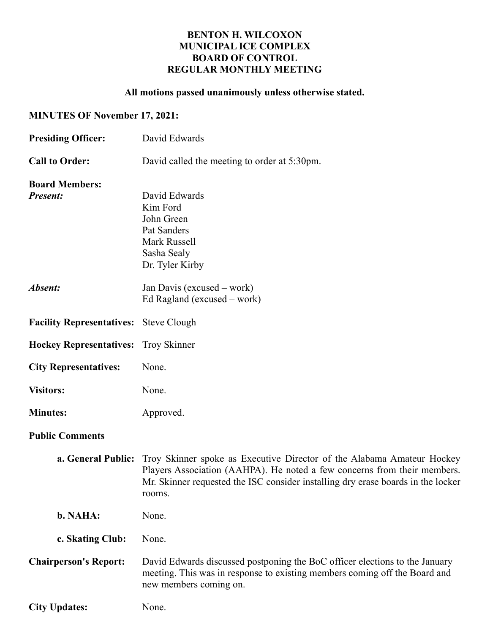## BENTON H. WILCOXON MUNICIPAL ICE COMPLEX BOARD OF CONTROL REGULAR MONTHLY MEETING

## All motions passed unanimously unless otherwise stated.

## MINUTES OF November 17, 2021:

| <b>Presiding Officer:</b>                     | David Edwards                                                                                                                                                                                                                                                              |  |  |  |
|-----------------------------------------------|----------------------------------------------------------------------------------------------------------------------------------------------------------------------------------------------------------------------------------------------------------------------------|--|--|--|
| <b>Call to Order:</b>                         | David called the meeting to order at 5:30pm.                                                                                                                                                                                                                               |  |  |  |
| <b>Board Members:</b><br><b>Present:</b>      | David Edwards<br>Kim Ford<br>John Green<br>Pat Sanders<br><b>Mark Russell</b><br>Sasha Sealy<br>Dr. Tyler Kirby                                                                                                                                                            |  |  |  |
| Absent:                                       | Jan Davis (excused – work)<br>Ed Ragland (excused $-$ work)                                                                                                                                                                                                                |  |  |  |
| <b>Facility Representatives:</b> Steve Clough |                                                                                                                                                                                                                                                                            |  |  |  |
| <b>Hockey Representatives:</b> Troy Skinner   |                                                                                                                                                                                                                                                                            |  |  |  |
| <b>City Representatives:</b>                  | None.                                                                                                                                                                                                                                                                      |  |  |  |
| <b>Visitors:</b>                              | None.                                                                                                                                                                                                                                                                      |  |  |  |
| <b>Minutes:</b>                               | Approved.                                                                                                                                                                                                                                                                  |  |  |  |
| <b>Public Comments</b>                        |                                                                                                                                                                                                                                                                            |  |  |  |
|                                               | <b>a. General Public:</b> Troy Skinner spoke as Executive Director of the Alabama Amateur Hockey<br>Players Association (AAHPA). He noted a few concerns from their members.<br>Mr. Skinner requested the ISC consider installing dry erase boards in the locker<br>rooms. |  |  |  |
| b. NAHA:                                      | None.                                                                                                                                                                                                                                                                      |  |  |  |
| c. Skating Club:                              | None.                                                                                                                                                                                                                                                                      |  |  |  |
| <b>Chairperson's Report:</b>                  | David Edwards discussed postponing the BoC officer elections to the January<br>meeting. This was in response to existing members coming off the Board and<br>new members coming on.                                                                                        |  |  |  |
| <b>City Updates:</b>                          | None.                                                                                                                                                                                                                                                                      |  |  |  |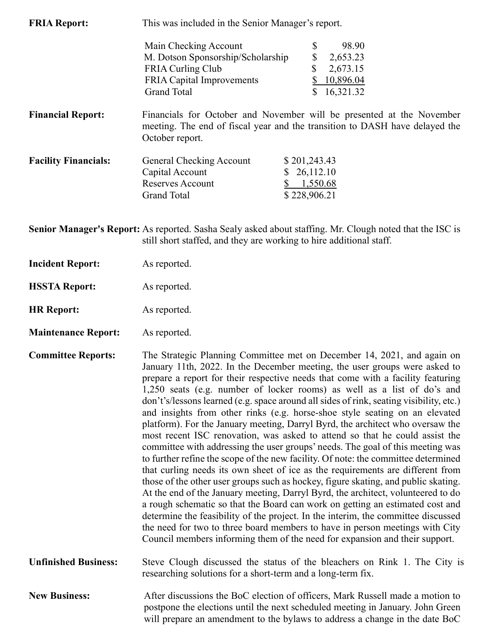| <b>FRIA Report:</b>         | This was included in the Senior Manager's report.                                                                                                                       |                                 |           |  |  |
|-----------------------------|-------------------------------------------------------------------------------------------------------------------------------------------------------------------------|---------------------------------|-----------|--|--|
|                             | Main Checking Account                                                                                                                                                   | \$                              | 98.90     |  |  |
|                             | M. Dotson Sponsorship/Scholarship                                                                                                                                       | \$                              | 2,653.23  |  |  |
|                             | FRIA Curling Club                                                                                                                                                       | \$                              | 2,673.15  |  |  |
|                             | <b>FRIA Capital Improvements</b>                                                                                                                                        |                                 | 10,896.04 |  |  |
|                             | <b>Grand Total</b>                                                                                                                                                      |                                 | 16,321.32 |  |  |
| <b>Financial Report:</b>    | Financials for October and November will be presented at the November<br>meeting. The end of fiscal year and the transition to DASH have delayed the<br>October report. |                                 |           |  |  |
| <b>Facility Financials:</b> | General Checking Account<br>Capital Account<br><b>Reserves Account</b>                                                                                                  | \$201,243.43<br>26,112.10<br>\$ | 1,550.68  |  |  |
|                             | <b>Grand Total</b>                                                                                                                                                      | \$228,906.21                    |           |  |  |

Senior Manager's Report: As reported. Sasha Sealy asked about staffing. Mr. Clough noted that the ISC is still short staffed, and they are working to hire additional staff.

- Incident Report: As reported.
- HSSTA Report: As reported.
- HR Report: As reported.
- Maintenance Report: As reported.
- Committee Reports: The Strategic Planning Committee met on December 14, 2021, and again on January 11th, 2022. In the December meeting, the user groups were asked to prepare a report for their respective needs that come with a facility featuring 1,250 seats (e.g. number of locker rooms) as well as a list of do's and don't's/lessons learned (e.g. space around all sides of rink, seating visibility, etc.) and insights from other rinks (e.g. horse-shoe style seating on an elevated platform). For the January meeting, Darryl Byrd, the architect who oversaw the most recent ISC renovation, was asked to attend so that he could assist the committee with addressing the user groups' needs. The goal of this meeting was to further refine the scope of the new facility. Of note: the committee determined that curling needs its own sheet of ice as the requirements are different from those of the other user groups such as hockey, figure skating, and public skating. At the end of the January meeting, Darryl Byrd, the architect, volunteered to do a rough schematic so that the Board can work on getting an estimated cost and determine the feasibility of the project. In the interim, the committee discussed the need for two to three board members to have in person meetings with City Council members informing them of the need for expansion and their support.
- Unfinished Business: Steve Clough discussed the status of the bleachers on Rink 1. The City is researching solutions for a short-term and a long-term fix.
- New Business: After discussions the BoC election of officers, Mark Russell made a motion to postpone the elections until the next scheduled meeting in January. John Green will prepare an amendment to the bylaws to address a change in the date BoC